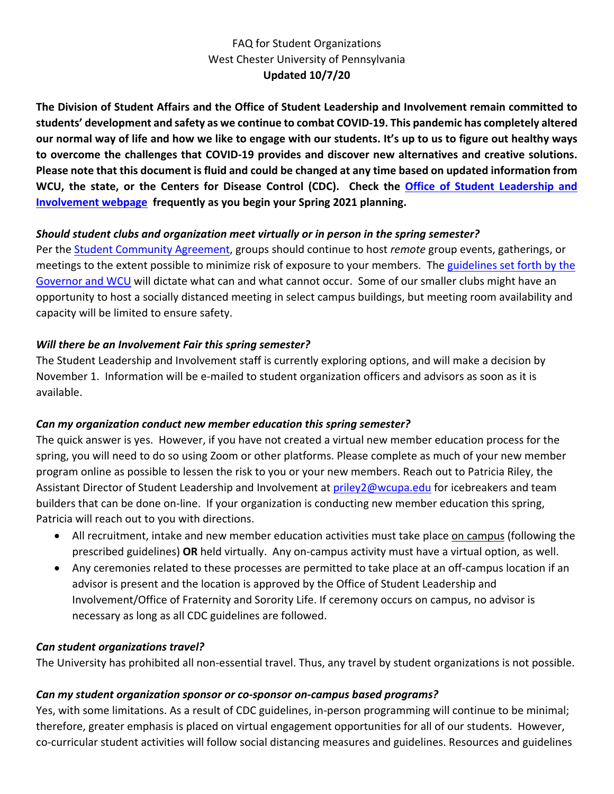# FAQ for Student Organizations West Chester University of Pennsylvania **Updated 10/7/20**

**The Division of Student Affairs and the Office of Student Leadership and Involvement remain committed to students' development and safety as we continue to combat COVID-19. This pandemic has completely altered our normal way of life and how we like to engage with our students. It's up to us to figure out healthy ways to overcome the challenges that COVID-19 provides and discover new alternatives and creative solutions. Please note that this document is fluid and could be changed at any time based on updated information from WCU, the state, or the Centers for Disease Control (CDC). Check the [Office of Student Leadership and](https://www.wcupa.edu/_services/stu/studentLeadershipInvolvement/)  [Involvement webpage](https://www.wcupa.edu/_services/stu/studentLeadershipInvolvement/) frequently as you begin your Spring 2021 planning.**

#### *Should student clubs and organization meet virtually or in person in the spring semester?*

Per the [Student Community Agreement,](https://www.wcupa.edu/healthNotices/studentCommunityAgreements.aspx) groups should continue to host *remote* group events, gatherings, or meetings to the extent possible to minimize risk of exposure to your members. The [guidelines set forth by the](https://www.wcupa.edu/healthNotices/studentCommunityAgreements.aspx)  [Governor and WCU](https://www.wcupa.edu/healthNotices/studentCommunityAgreements.aspx) will dictate what can and what cannot occur. Some of our smaller clubs might have an opportunity to host a socially distanced meeting in select campus buildings, but meeting room availability and capacity will be limited to ensure safety.

#### *Will there be an Involvement Fair this spring semester?*

The Student Leadership and Involvement staff is currently exploring options, and will make a decision by November 1. Information will be e-mailed to student organization officers and advisors as soon as it is available.

#### *Can my organization conduct new member education this spring semester?*

The quick answer is yes. However, if you have not created a virtual new member education process for the spring, you will need to do so using Zoom or other platforms. Please complete as much of your new member program online as possible to lessen the risk to you or your new members. Reach out to Patricia Riley, the Assistant Director of Student Leadership and Involvement at [priley2@wcupa.edu](mailto:priley2@wcupa.edu) for icebreakers and team builders that can be done on-line. If your organization is conducting new member education this spring, Patricia will reach out to you with directions.

- All recruitment, intake and new member education activities must take place on campus (following the prescribed guidelines) **OR** held virtually. Any on-campus activity must have a virtual option, as well.
- Any ceremonies related to these processes are permitted to take place at an off-campus location if an advisor is present and the location is approved by the Office of Student Leadership and Involvement/Office of Fraternity and Sorority Life. If ceremony occurs on campus, no advisor is necessary as long as all CDC guidelines are followed.

#### *Can student organizations travel?*

The University has prohibited all non-essential travel. Thus, any travel by student organizations is not possible.

#### *Can my student organization sponsor or co-sponsor on-campus based programs?*

Yes, with some limitations. As a result of CDC guidelines, in-person programming will continue to be minimal; therefore, greater emphasis is placed on virtual engagement opportunities for all of our students. However, co-curricular student activities will follow social distancing measures and guidelines. Resources and guidelines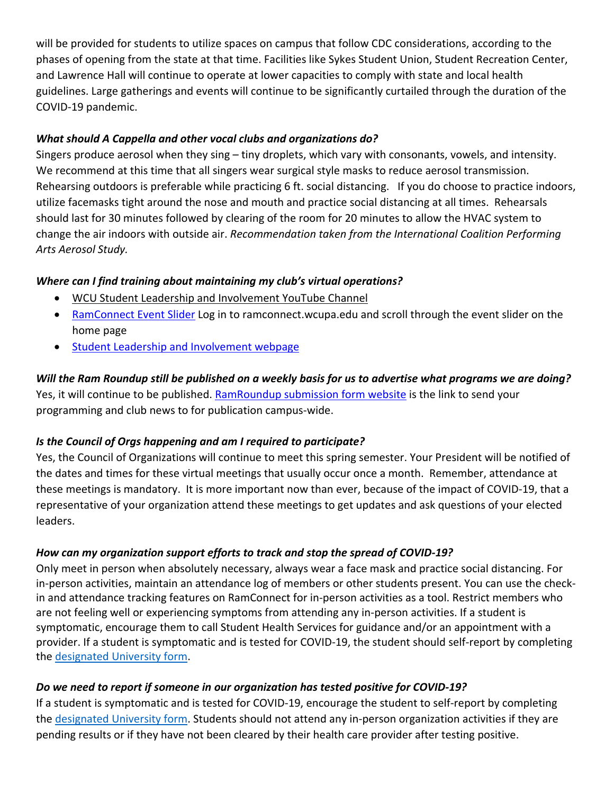will be provided for students to utilize spaces on campus that follow CDC considerations, according to the phases of opening from the state at that time. Facilities like Sykes Student Union, Student Recreation Center, and Lawrence Hall will continue to operate at lower capacities to comply with state and local health guidelines. Large gatherings and events will continue to be significantly curtailed through the duration of the COVID-19 pandemic.

# *What should A Cappella and other vocal clubs and organizations do?*

Singers produce aerosol when they sing – tiny droplets, which vary with consonants, vowels, and intensity. We recommend at this time that all singers wear surgical style masks to reduce aerosol transmission. Rehearsing outdoors is preferable while practicing 6 ft. social distancing. If you do choose to practice indoors, utilize facemasks tight around the nose and mouth and practice social distancing at all times. Rehearsals should last for 30 minutes followed by clearing of the room for 20 minutes to allow the HVAC system to change the air indoors with outside air. *Recommendation taken from the International Coalition Performing Arts Aerosol Study.*

# *Where can I find training about maintaining my club's virtual operations?*

- [WCU Student Leadership and Involvement YouTube Channel](https://www.youtube.com/channel/UCpEnybY_fZ1EbfeK2xDrHlA?view_as=subscriber)
- [RamConnect Event Slider](https://ramconnect.wcupa.edu/home_login) Log in to ramconnect.wcupa.edu and scroll through the event slider on the home page
- [Student Leadership and Involvement webpage](https://www.wcupa.edu/_services/stu/studentLeadershipInvolvement/)

# *Will the Ram Roundup still be published on a weekly basis for us to advertise what programs we are doing?*  Yes, it will continue to be published. [RamRoundup submission form website](https://www.wcupa.edu/_services/stu/forms/informationForStudents/) is the link to send your programming and club news to for publication campus-wide.

# *Is the Council of Orgs happening and am I required to participate?*

Yes, the Council of Organizations will continue to meet this spring semester. Your President will be notified of the dates and times for these virtual meetings that usually occur once a month. Remember, attendance at these meetings is mandatory. It is more important now than ever, because of the impact of COVID-19, that a representative of your organization attend these meetings to get updates and ask questions of your elected leaders.

# *How can my organization support efforts to track and stop the spread of COVID-19?*

Only meet in person when absolutely necessary, always wear a face mask and practice social distancing. For in-person activities, maintain an attendance log of members or other students present. You can use the checkin and attendance tracking features on RamConnect for in-person activities as a tool. Restrict members who are not feeling well or experiencing symptoms from attending any in-person activities. If a student is symptomatic, encourage them to call Student Health Services for guidance and/or an appointment with a provider. If a student is symptomatic and is tested for COVID-19, the student should self-report by completing the [designated University form.](https://cm.maxient.com/reportingform.php?WestChesterUniv&layout_id=31)

# *Do we need to report if someone in our organization has tested positive for COVID-19?*

If a student is symptomatic and is tested for COVID-19, encourage the student to self-report by completing the [designated University form.](https://cm.maxient.com/reportingform.php?WestChesterUniv&layout_id=31) Students should not attend any in-person organization activities if they are pending results or if they have not been cleared by their health care provider after testing positive.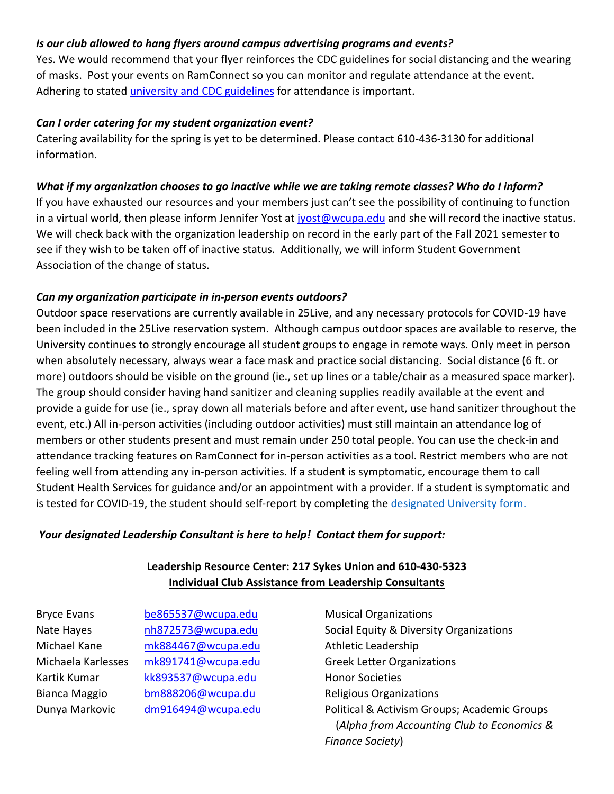## *Is our club allowed to hang flyers around campus advertising programs and events?*

Yes. We would recommend that your flyer reinforces the CDC guidelines for social distancing and the wearing of masks. Post your events on RamConnect so you can monitor and regulate attendance at the event. Adhering to stated [university and CDC guidelines](https://www.wcupa.edu/healthNotices/studentCommunityAgreements.aspx) for attendance is important.

#### *Can I order catering for my student organization event?*

Catering availability for the spring is yet to be determined. Please contact 610-436-3130 for additional information.

#### *What if my organization chooses to go inactive while we are taking remote classes? Who do I inform?*

If you have exhausted our resources and your members just can't see the possibility of continuing to function in a virtual world, then please inform Jennifer Yost at [jyost@wcupa.edu](mailto:jyost@wcupa.edu) and she will record the inactive status. We will check back with the organization leadership on record in the early part of the Fall 2021 semester to see if they wish to be taken off of inactive status. Additionally, we will inform Student Government Association of the change of status.

## *Can my organization participate in in-person events outdoors?*

Outdoor space reservations are currently available in 25Live, and any necessary protocols for COVID-19 have been included in the 25Live reservation system. Although campus outdoor spaces are available to reserve, the University continues to strongly encourage all student groups to engage in remote ways. Only meet in person when absolutely necessary, always wear a face mask and practice social distancing. Social distance (6 ft. or more) outdoors should be visible on the ground (ie., set up lines or a table/chair as a measured space marker). The group should consider having hand sanitizer and cleaning supplies readily available at the event and provide a guide for use (ie., spray down all materials before and after event, use hand sanitizer throughout the event, etc.) All in-person activities (including outdoor activities) must still maintain an attendance log of members or other students present and must remain under 250 total people. You can use the check-in and attendance tracking features on RamConnect for in-person activities as a tool. Restrict members who are not feeling well from attending any in-person activities. If a student is symptomatic, encourage them to call Student Health Services for guidance and/or an appointment with a provider. If a student is symptomatic and is tested for COVID-19, the student should self-report by completing the [designated University form.](https://cm.maxient.com/reportingform.php?WestChesterUniv&layout_id=31)

#### *Your designated Leadership Consultant is here to help! Contact them for support:*

## **Leadership Resource Center: 217 Sykes Union and 610-430-5323 Individual Club Assistance from Leadership Consultants**

Bryce Evans [be865537@wcupa.edu](mailto:be865537@wcupa.edu) Musical Organizations Michael Kane [mk884467@wcupa.edu](mailto:mk884467@wcupa.edu) Athletic Leadership Michaela Karlesses [mk891741@wcupa.edu](mailto:mk891741@wcupa.edu) Greek Letter Organizations Kartik Kumar [kk893537@wcupa.edu](mailto:kk893537@wcupa.edu) Honor Societies Bianca Maggio [bm888206@wcupa.du](mailto:bm888206@wcupa.du) Religious Organizations

Nate Hayes **nh872573@wcupa.edu** Social Equity & Diversity Organizations Dunya Markovic [dm916494@wcupa.edu](mailto:dm916494@wcupa.edu) Political & Activism Groups; Academic Groups (*Alpha from Accounting Club to Economics & Finance Society*)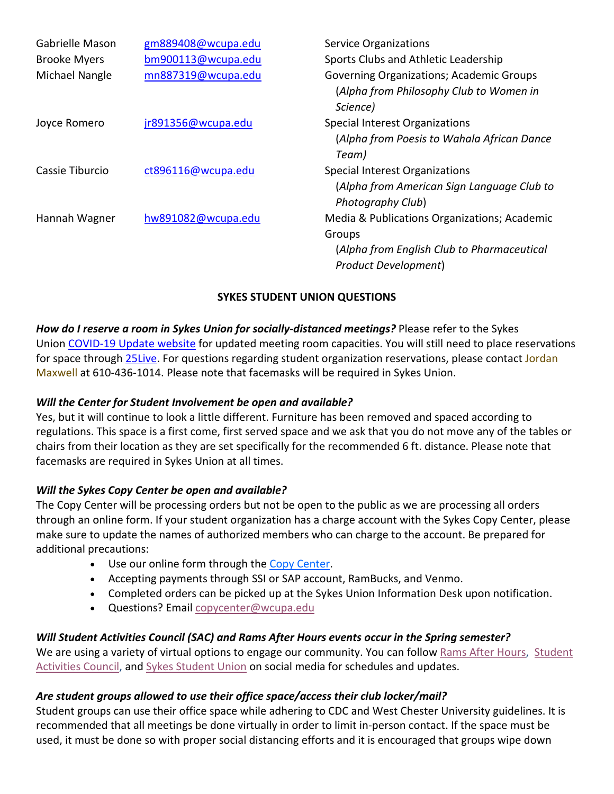| <b>Gabrielle Mason</b> | gm889408@wcupa.edu | <b>Service Organizations</b>                    |
|------------------------|--------------------|-------------------------------------------------|
| <b>Brooke Myers</b>    | bm900113@wcupa.edu | Sports Clubs and Athletic Leadership            |
| Michael Nangle         | mn887319@wcupa.edu | <b>Governing Organizations; Academic Groups</b> |
|                        |                    | (Alpha from Philosophy Club to Women in         |
|                        |                    | Science)                                        |
| Joyce Romero           | jr891356@wcupa.edu | Special Interest Organizations                  |
|                        |                    | (Alpha from Poesis to Wahala African Dance      |
|                        |                    | Team)                                           |
| Cassie Tiburcio        | ct896116@wcupa.edu | Special Interest Organizations                  |
|                        |                    | (Alpha from American Sign Language Club to      |
|                        |                    | Photography Club)                               |
| Hannah Wagner          | hw891082@wcupa.edu | Media & Publications Organizations; Academic    |
|                        |                    | Groups                                          |
|                        |                    | (Alpha from English Club to Pharmaceutical      |
|                        |                    | <b>Product Development)</b>                     |

## **SYKES STUDENT UNION QUESTIONS**

*How do I reserve a room in Sykes Union for socially-distanced meetings?* Please refer to the Sykes Union [COVID-19 Update website](https://www.wcupa.edu/_services/Stu.Syk/eventReservations.aspx) for updated meeting room capacities. You will still need to place reservations for space through [25Live.](https://25live.collegenet.com/pro/wcupa) For questions regarding student organization reservations, please contact Jordan Maxwell at 610-436-1014. Please note that facemasks will be required in Sykes Union.

#### *Will the Center for Student Involvement be open and available?*

Yes, but it will continue to look a little different. Furniture has been removed and spaced according to regulations. This space is a first come, first served space and we ask that you do not move any of the tables or chairs from their location as they are set specifically for the recommended 6 ft. distance. Please note that facemasks are required in Sykes Union at all times.

#### *Will the Sykes Copy Center be open and available?*

The Copy Center will be processing orders but not be open to the public as we are processing all orders through an online form. If your student organization has a charge account with the Sykes Copy Center, please make sure to update the names of authorized members who can charge to the account. Be prepared for additional precautions:

- Use our online form through the [Copy Center.](https://forms.office.com/Pages/ResponsePage.aspx?id=mQBWAINajky-zAAjuNA9y9tcipUUzjhOgWCbJ0pxdMpUMldWVVo5RzFHNlZJVERBUklEWERLMkpYNS4u)
- Accepting payments through SSI or SAP account, RamBucks, and Venmo.
- Completed orders can be picked up at the Sykes Union Information Desk upon notification.
- Questions? Email [copycenter@wcupa.edu](mailto:copycenter@wcupa.edu)

# *Will Student Activities Council (SAC) and Rams After Hours events occur in the Spring semester?*

We are using a variety of virtual options to engage our community. You can follow [Rams After Hours,](https://www.facebook.com/ramsafterhours) Student [Activities Council,](https://www.facebook.com/wcustudentactivities) and [Sykes Student Union](https://www.facebook.com/sykesunion) on social media for schedules and updates.

#### *Are student groups allowed to use their office space/access their club locker/mail?*

Student groups can use their office space while adhering to CDC and West Chester University guidelines. It is recommended that all meetings be done virtually in order to limit in-person contact. If the space must be used, it must be done so with proper social distancing efforts and it is encouraged that groups wipe down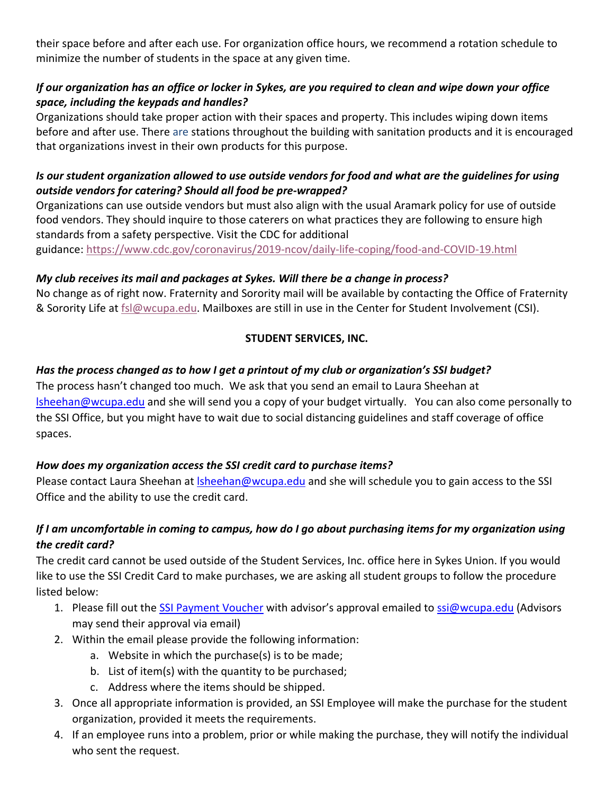their space before and after each use. For organization office hours, we recommend a rotation schedule to minimize the number of students in the space at any given time.

## If our organization has an office or locker in Sykes, are you required to clean and wipe down your office *space, including the keypads and handles?*

Organizations should take proper action with their spaces and property. This includes wiping down items before and after use. There are stations throughout the building with sanitation products and it is encouraged that organizations invest in their own products for this purpose.

## Is our student organization allowed to use outside vendors for food and what are the guidelines for using *outside vendors for catering? Should all food be pre-wrapped?*

Organizations can use outside vendors but must also align with the usual Aramark policy for use of outside food vendors. They should inquire to those caterers on what practices they are following to ensure high standards from a safety perspective. Visit the CDC for additional guidance:<https://www.cdc.gov/coronavirus/2019-ncov/daily-life-coping/food-and-COVID-19.html>

# *My club receives its mail and packages at Sykes. Will there be a change in process?*

No change as of right now. Fraternity and Sorority mail will be available by contacting the Office of Fraternity & Sorority Life at [fsl@wcupa.edu.](mailto:fsl@wcupa.edu) Mailboxes are still in use in the Center for Student Involvement (CSI).

# **STUDENT SERVICES, INC.**

# *Has the process changed as to how I get a printout of my club or organization's SSI budget?*

The process hasn't changed too much. We ask that you send an email to Laura Sheehan at [lsheehan@wcupa.edu](mailto:lsheehan@wcupa.edu) and she will send you a copy of your budget virtually. You can also come personally to the SSI Office, but you might have to wait due to social distancing guidelines and staff coverage of office spaces.

# *How does my organization access the SSI credit card to purchase items?*

Please contact Laura Sheehan at Isheehan@wcupa.edu and she will schedule you to gain access to the SSI Office and the ability to use the credit card.

# *If I am uncomfortable in coming to campus, how do I go about purchasing items for my organization using the credit card?*

The credit card cannot be used outside of the Student Services, Inc. office here in Sykes Union. If you would like to use the SSI Credit Card to make purchases, we are asking all student groups to follow the procedure listed below:

- 1. Please fill out the [SSI Payment Voucher](https://wcustudentservices.com/wp-content/uploads/2020/04/Paymentvoucher20.pdf) with advisor's approval emailed to [ssi@wcupa.edu](mailto:ssi@wcupa.edu) (Advisors may send their approval via email)
- 2. Within the email please provide the following information:
	- a. Website in which the purchase(s) is to be made;
	- b. List of item(s) with the quantity to be purchased;
	- c. Address where the items should be shipped.
- 3. Once all appropriate information is provided, an SSI Employee will make the purchase for the student organization, provided it meets the requirements.
- 4. If an employee runs into a problem, prior or while making the purchase, they will notify the individual who sent the request.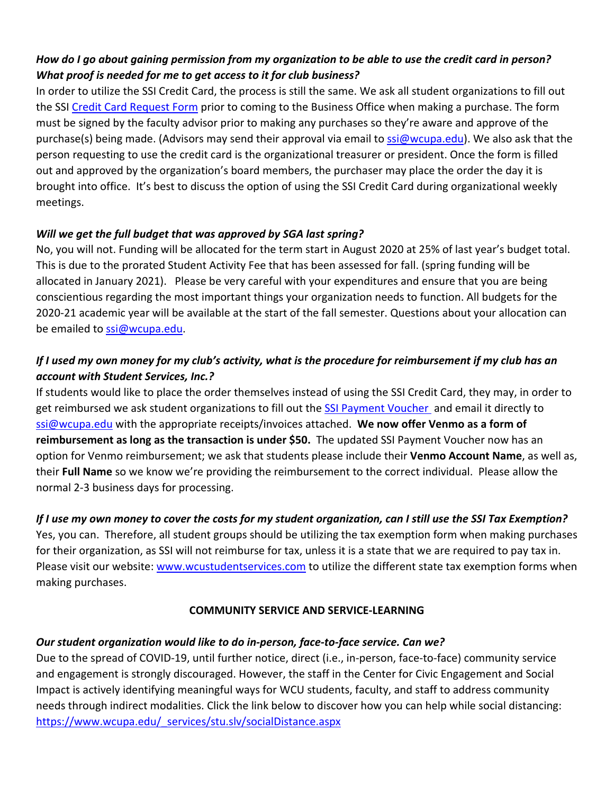# *How do I go about gaining permission from my organization to be able to use the credit card in person? What proof is needed for me to get access to it for club business?*

In order to utilize the SSI Credit Card, the process is still the same. We ask all student organizations to fill out the SSI [Credit Card Request Form](https://wcustudentservices.com/wp-content/uploads/2016/12/ssi-credit-card-request-form1.pdf) prior to coming to the Business Office when making a purchase. The form must be signed by the faculty advisor prior to making any purchases so they're aware and approve of the purchase(s) being made. (Advisors may send their approval via email to [ssi@wcupa.edu\)](mailto:ssi@wcupa.edu). We also ask that the person requesting to use the credit card is the organizational treasurer or president. Once the form is filled out and approved by the organization's board members, the purchaser may place the order the day it is brought into office. It's best to discuss the option of using the SSI Credit Card during organizational weekly meetings.

# *Will we get the full budget that was approved by SGA last spring?*

No, you will not. Funding will be allocated for the term start in August 2020 at 25% of last year's budget total. This is due to the prorated Student Activity Fee that has been assessed for fall. (spring funding will be allocated in January 2021). Please be very careful with your expenditures and ensure that you are being conscientious regarding the most important things your organization needs to function. All budgets for the 2020-21 academic year will be available at the start of the fall semester. Questions about your allocation can be emailed to [ssi@wcupa.edu.](mailto:ssi@wcupa.edu)

# *If I used my own money for my club's activity, what is the procedure for reimbursement if my club has an account with Student Services, Inc.?*

If students would like to place the order themselves instead of using the SSI Credit Card, they may, in order to get reimbursed we ask student organizations to fill out the [SSI Payment Voucher a](https://wcustudentservices.com/wp-content/uploads/2020/04/Paymentvoucher20.pdf)nd email it directly to [ssi@wcupa.edu](mailto:ssi@wcupa.edu) with the appropriate receipts/invoices attached. **We now offer Venmo as a form of reimbursement as long as the transaction is under \$50.** The updated SSI Payment Voucher now has an option for Venmo reimbursement; we ask that students please include their **Venmo Account Name**, as well as, their **Full Name** so we know we're providing the reimbursement to the correct individual. Please allow the normal 2-3 business days for processing.

# *If I use my own money to cover the costs for my student organization, can I still use the SSI Tax Exemption?*

Yes, you can. Therefore, all student groups should be utilizing the tax exemption form when making purchases for their organization, as SSI will not reimburse for tax, unless it is a state that we are required to pay tax in. Please visit our website: [www.wcustudentservices.com](http://www.wcustudentservices.com/) to utilize the different state tax exemption forms when making purchases.

#### **COMMUNITY SERVICE AND SERVICE-LEARNING**

# *Our student organization would like to do in-person, face-to-face service. Can we?*

Due to the spread of COVID-19, until further notice, direct (i.e., in-person, face-to-face) community service and engagement is strongly discouraged. However, the staff in the Center for Civic Engagement and Social Impact is actively identifying meaningful ways for WCU students, faculty, and staff to address community needs through indirect modalities. Click the link below to discover how you can help while social distancing: [https://www.wcupa.edu/\\_services/stu.slv/socialDistance.aspx](https://www.wcupa.edu/_services/stu.slv/socialDistance.aspx)